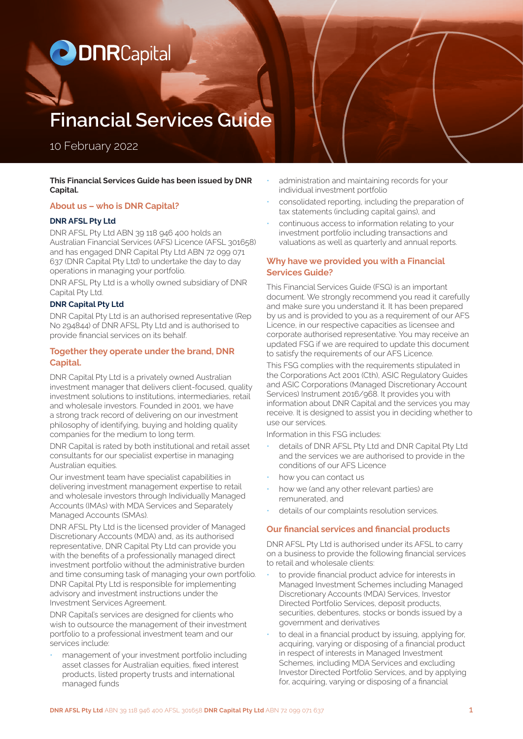# **ODNRCapital**

## **Financial Services Guide**

10 February 2022

#### **This Financial Services Guide has been issued by DNR Capital.**

## **About us – who is DNR Capital?**

## **DNR AFSL Pty Ltd**

DNR AFSL Pty Ltd ABN 39 118 946 400 holds an Australian Financial Services (AFS) Licence (AFSL 301658) and has engaged DNR Capital Pty Ltd ABN 72 099 071 637 (DNR Capital Pty Ltd) to undertake the day to day operations in managing your portfolio.

DNR AFSL Pty Ltd is a wholly owned subsidiary of DNR Capital Pty Ltd.

## **DNR Capital Pty Ltd**

DNR Capital Pty Ltd is an authorised representative (Rep No 294844) of DNR AFSL Pty Ltd and is authorised to provide financial services on its behalf.

## **Together they operate under the brand, DNR Capital.**

DNR Capital Pty Ltd is a privately owned Australian investment manager that delivers client-focused, quality investment solutions to institutions, intermediaries, retail and wholesale investors. Founded in 2001, we have a strong track record of delivering on our investment philosophy of identifying, buying and holding quality companies for the medium to long term.

DNR Capital is rated by both institutional and retail asset consultants for our specialist expertise in managing Australian equities.

Our investment team have specialist capabilities in delivering investment management expertise to retail and wholesale investors through Individually Managed Accounts (IMAs) with MDA Services and Separately Managed Accounts (SMAs).

DNR AFSL Pty Ltd is the licensed provider of Managed Discretionary Accounts (MDA) and, as its authorised representative, DNR Capital Pty Ltd can provide you with the benefits of a professionally managed direct investment portfolio without the administrative burden and time consuming task of managing your own portfolio. DNR Capital Pty Ltd is responsible for implementing advisory and investment instructions under the Investment Services Agreement.

DNR Capital's services are designed for clients who wish to outsource the management of their investment portfolio to a professional investment team and our services include:

• management of your investment portfolio including asset classes for Australian equities, fixed interest products, listed property trusts and international managed funds

- administration and maintaining records for your individual investment portfolio
- consolidated reporting, including the preparation of tax statements (including capital gains), and
- continuous access to information relating to your investment portfolio including transactions and valuations as well as quarterly and annual reports.

## **Why have we provided you with a Financial Services Guide?**

This Financial Services Guide (FSG) is an important document. We strongly recommend you read it carefully and make sure you understand it. It has been prepared by us and is provided to you as a requirement of our AFS Licence, in our respective capacities as licensee and corporate authorised representative. You may receive an updated FSG if we are required to update this document to satisfy the requirements of our AFS Licence.

This FSG complies with the requirements stipulated in the Corporations Act 2001 (Cth), ASIC Regulatory Guides and ASIC Corporations (Managed Discretionary Account Services) Instrument 2016/968. It provides you with information about DNR Capital and the services you may receive. It is designed to assist you in deciding whether to use our services.

Information in this FSG includes:

- details of DNR AFSL Pty Ltd and DNR Capital Pty Ltd and the services we are authorised to provide in the conditions of our AFS Licence
- how you can contact us
- how we (and any other relevant parties) are remunerated, and
- details of our complaints resolution services.

## **Our financial services and financial products**

DNR AFSL Pty Ltd is authorised under its AFSL to carry on a business to provide the following financial services to retail and wholesale clients:

- to provide financial product advice for interests in Managed Investment Schemes including Managed Discretionary Accounts (MDA) Services, Investor Directed Portfolio Services, deposit products, securities, debentures, stocks or bonds issued by a government and derivatives
- to deal in a financial product by issuing, applying for, acquiring, varying or disposing of a financial product in respect of interests in Managed Investment Schemes, including MDA Services and excluding Investor Directed Portfolio Services, and by applying for, acquiring, varying or disposing of a financial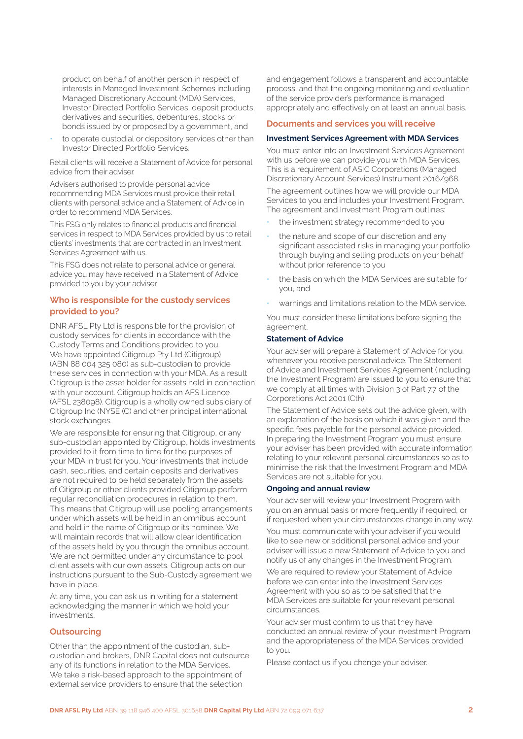product on behalf of another person in respect of interests in Managed Investment Schemes including Managed Discretionary Account (MDA) Services, Investor Directed Portfolio Services, deposit products, derivatives and securities, debentures, stocks or bonds issued by or proposed by a government, and

to operate custodial or depository services other than Investor Directed Portfolio Services.

Retail clients will receive a Statement of Advice for personal advice from their adviser.

Advisers authorised to provide personal advice recommending MDA Services must provide their retail clients with personal advice and a Statement of Advice in order to recommend MDA Services.

This FSG only relates to financial products and financial services in respect to MDA Services provided by us to retail clients' investments that are contracted in an Investment Services Agreement with us.

This FSG does not relate to personal advice or general advice you may have received in a Statement of Advice provided to you by your adviser.

## **Who is responsible for the custody services provided to you?**

DNR AFSL Pty Ltd is responsible for the provision of custody services for clients in accordance with the Custody Terms and Conditions provided to you. We have appointed Citigroup Pty Ltd (Citigroup) (ABN 88 004 325 080) as sub-custodian to provide these services in connection with your MDA. As a result Citigroup is the asset holder for assets held in connection with your account. Citigroup holds an AFS Licence (AFSL 238098). Citigroup is a wholly owned subsidiary of Citigroup Inc (NYSE (C) and other principal international stock exchanges.

We are responsible for ensuring that Citigroup, or any sub-custodian appointed by Citigroup, holds investments provided to it from time to time for the purposes of your MDA in trust for you. Your investments that include cash, securities, and certain deposits and derivatives are not required to be held separately from the assets of Citigroup or other clients provided Citigroup perform regular reconciliation procedures in relation to them. This means that Citigroup will use pooling arrangements under which assets will be held in an omnibus account and held in the name of Citigroup or its nominee. We will maintain records that will allow clear identification of the assets held by you through the omnibus account. We are not permitted under any circumstance to pool client assets with our own assets. Citigroup acts on our instructions pursuant to the Sub-Custody agreement we have in place.

At any time, you can ask us in writing for a statement acknowledging the manner in which we hold your investments.

## **Outsourcing**

Other than the appointment of the custodian, subcustodian and brokers, DNR Capital does not outsource any of its functions in relation to the MDA Services. We take a risk-based approach to the appointment of external service providers to ensure that the selection

and engagement follows a transparent and accountable process, and that the ongoing monitoring and evaluation of the service provider's performance is managed appropriately and effectively on at least an annual basis.

## **Documents and services you will receive**

## **Investment Services Agreement with MDA Services**

You must enter into an Investment Services Agreement with us before we can provide you with MDA Services. This is a requirement of ASIC Corporations (Managed Discretionary Account Services) Instrument 2016/968.

The agreement outlines how we will provide our MDA Services to you and includes your Investment Program. The agreement and Investment Program outlines:

- the investment strategy recommended to you
- the nature and scope of our discretion and any significant associated risks in managing your portfolio through buying and selling products on your behalf without prior reference to you
- the basis on which the MDA Services are suitable for you, and
- warnings and limitations relation to the MDA service.

You must consider these limitations before signing the agreement.

## **Statement of Advice**

Your adviser will prepare a Statement of Advice for you whenever you receive personal advice. The Statement of Advice and Investment Services Agreement (including the Investment Program) are issued to you to ensure that we comply at all times with Division 3 of Part 7.7 of the Corporations Act 2001 (Cth).

The Statement of Advice sets out the advice given, with an explanation of the basis on which it was given and the specific fees payable for the personal advice provided. In preparing the Investment Program you must ensure your adviser has been provided with accurate information relating to your relevant personal circumstances so as to minimise the risk that the Investment Program and MDA Services are not suitable for you.

## **Ongoing and annual review**

Your adviser will review your Investment Program with you on an annual basis or more frequently if required, or if requested when your circumstances change in any way.

You must communicate with your adviser if you would like to see new or additional personal advice and your adviser will issue a new Statement of Advice to you and notify us of any changes in the Investment Program.

We are required to review your Statement of Advice before we can enter into the Investment Services Agreement with you so as to be satisfied that the MDA Services are suitable for your relevant personal circumstances.

Your adviser must confirm to us that they have conducted an annual review of your Investment Program and the appropriateness of the MDA Services provided to you.

Please contact us if you change your adviser.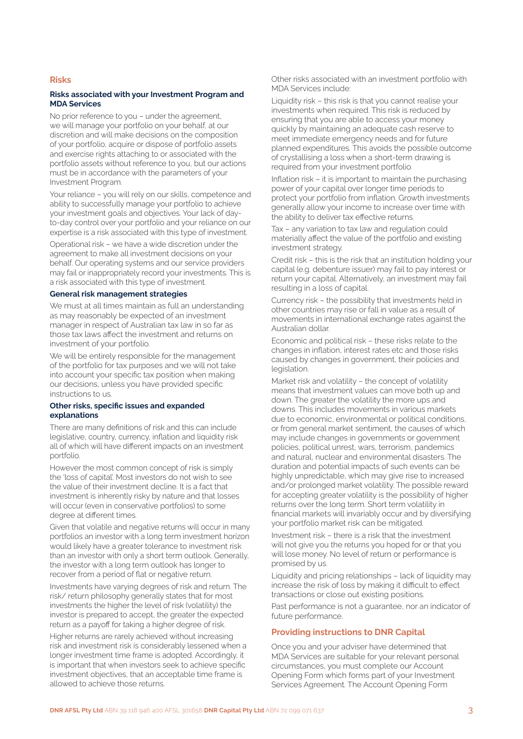#### **Risks**

#### **Risks associated with your Investment Program and MDA Services**

No prior reference to you – under the agreement, we will manage your portfolio on your behalf, at our discretion and will make decisions on the composition of your portfolio, acquire or dispose of portfolio assets and exercise rights attaching to or associated with the portfolio assets without reference to you, but our actions must be in accordance with the parameters of your Investment Program.

Your reliance – you will rely on our skills, competence and ability to successfully manage your portfolio to achieve your investment goals and objectives. Your lack of dayto-day control over your portfolio and your reliance on our expertise is a risk associated with this type of investment.

Operational risk – we have a wide discretion under the agreement to make all investment decisions on your behalf. Our operating systems and our service providers may fail or inappropriately record your investments. This is a risk associated with this type of investment.

## **General risk management strategies**

We must at all times maintain as full an understanding as may reasonably be expected of an investment manager in respect of Australian tax law in so far as those tax laws affect the investment and returns on investment of your portfolio.

We will be entirely responsible for the management of the portfolio for tax purposes and we will not take into account your specific tax position when making our decisions, unless you have provided specific instructions to us.

#### **Other risks, specific issues and expanded explanations**

There are many definitions of risk and this can include legislative, country, currency, inflation and liquidity risk all of which will have different impacts on an investment portfolio.

However the most common concept of risk is simply the 'loss of capital'. Most investors do not wish to see the value of their investment decline. It is a fact that investment is inherently risky by nature and that losses will occur (even in conservative portfolios) to some degree at different times.

Given that volatile and negative returns will occur in many portfolios an investor with a long term investment horizon would likely have a greater tolerance to investment risk than an investor with only a short term outlook. Generally, the investor with a long term outlook has longer to recover from a period of flat or negative return.

Investments have varying degrees of risk and return. The risk/ return philosophy generally states that for most investments the higher the level of risk (volatility) the investor is prepared to accept, the greater the expected return as a payoff for taking a higher degree of risk.

Higher returns are rarely achieved without increasing risk and investment risk is considerably lessened when a longer investment time frame is adopted. Accordingly, it is important that when investors seek to achieve specific investment objectives, that an acceptable time frame is allowed to achieve those returns.

Other risks associated with an investment portfolio with MDA Services include:

Liquidity risk – this risk is that you cannot realise your investments when required. This risk is reduced by ensuring that you are able to access your money quickly by maintaining an adequate cash reserve to meet immediate emergency needs and for future planned expenditures. This avoids the possible outcome of crystallising a loss when a short-term drawing is required from your investment portfolio.

Inflation risk – it is important to maintain the purchasing power of your capital over longer time periods to protect your portfolio from inflation. Growth investments generally allow your income to increase over time with the ability to deliver tax effective returns.

Tax – any variation to tax law and regulation could materially affect the value of the portfolio and existing investment strategy.

Credit risk – this is the risk that an institution holding your capital (e.g. debenture issuer) may fail to pay interest or return your capital. Alternatively, an investment may fail resulting in a loss of capital.

Currency risk – the possibility that investments held in other countries may rise or fall in value as a result of movements in international exchange rates against the Australian dollar.

Economic and political risk – these risks relate to the changes in inflation, interest rates etc and those risks caused by changes in government, their policies and legislation.

Market risk and volatility – the concept of volatility means that investment values can move both up and down. The greater the volatility the more ups and downs. This includes movements in various markets due to economic, environmental or political conditions, or from general market sentiment, the causes of which may include changes in governments or government policies, political unrest, wars, terrorism, pandemics and natural, nuclear and environmental disasters. The duration and potential impacts of such events can be highly unpredictable, which may give rise to increased and/or prolonged market volatility. The possible reward for accepting greater volatility is the possibility of higher returns over the long term. Short term volatility in financial markets will invariably occur and by diversifying your portfolio market risk can be mitigated.

Investment risk – there is a risk that the investment will not give you the returns you hoped for or that you will lose money. No level of return or performance is promised by us.

Liquidity and pricing relationships – lack of liquidity may increase the risk of loss by making it difficult to effect transactions or close out existing positions.

Past performance is not a guarantee, nor an indicator of future performance.

#### **Providing instructions to DNR Capital**

Once you and your adviser have determined that MDA Services are suitable for your relevant personal circumstances, you must complete our Account Opening Form which forms part of your Investment Services Agreement. The Account Opening Form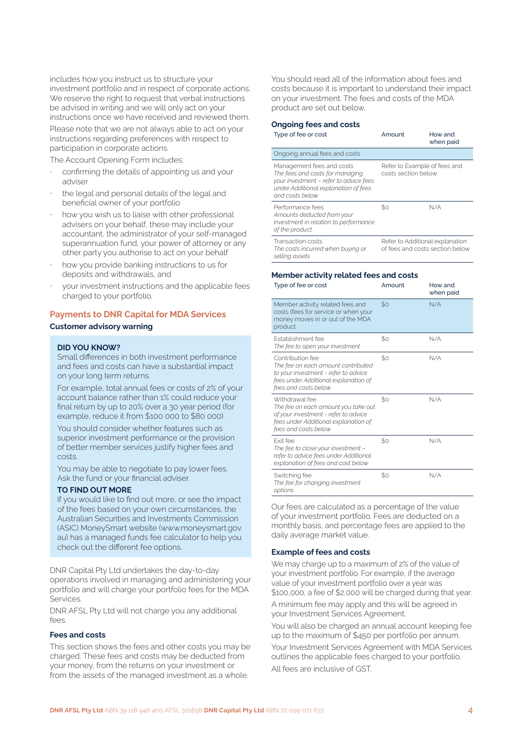includes how you instruct us to structure your investment portfolio and in respect of corporate actions. We reserve the right to request that verbal instructions be advised in writing and we will only act on your instructions once we have received and reviewed them.

Please note that we are not always able to act on your instructions regarding preferences with respect to participation in corporate actions.

The Account Opening Form includes:

- confirming the details of appointing us and your adviser
- the legal and personal details of the legal and beneficial owner of your portfolio
- how you wish us to liaise with other professional advisers on your behalf, these may include your accountant, the administrator of your self-managed superannuation fund, your power of attorney or any other party you authorise to act on your behalf
- how you provide banking instructions to us for deposits and withdrawals, and
- your investment instructions and the applicable fees charged to your portfolio.

#### **Payments to DNR Capital for MDA Services**

#### **Customer advisory warning**

#### **DID YOU KNOW?**

Small differences in both investment performance and fees and costs can have a substantial impact on your long term returns.

For example, total annual fees or costs of 2% of your account balance rather than 1% could reduce your final return by up to 20% over a 30 year period (for example, reduce it from \$100 000 to \$80 000).

You should consider whether features such as superior investment performance or the provision of better member services justify higher fees and costs.

You may be able to negotiate to pay lower fees. Ask the fund or your financial adviser.

#### **TO FIND OUT MORE**

If you would like to find out more, or see the impact of the fees based on your own circumstances, the Australian Securities and Investments Commission (ASIC) MoneySmart website (www.moneysmart.gov. au) has a managed funds fee calculator to help you check out the different fee options.

DNR Capital Pty Ltd undertakes the day-to-day operations involved in managing and administering your portfolio and will charge your portfolio fees for the MDA Services.

DNR AFSL Pty Ltd will not charge you any additional fees.

## **Fees and costs**

This section shows the fees and other costs you may be charged. These fees and costs may be deducted from your money, from the returns on your investment or from the assets of the managed investment as a whole.

You should read all of the information about fees and costs because it is important to understand their impact on your investment. The fees and costs of the MDA product are set out below.

#### **Ongoing fees and costs**

| Type of fee or cost                                                                                                                                               | Amount                                                             | How and<br>when paid |
|-------------------------------------------------------------------------------------------------------------------------------------------------------------------|--------------------------------------------------------------------|----------------------|
| Ongoing annual fees and costs                                                                                                                                     |                                                                    |                      |
| Management fees and costs<br>The fees and costs for managing<br>your investment - refer to advice fees<br>under Additional explanation of fees<br>and costs below | Refer to Example of fees and<br>costs section below                |                      |
| Performance fees<br>Amounts deducted from your<br>investment in relation to performance<br>of the product                                                         | \$0                                                                | N/A                  |
| Transaction costs<br>The costs incurred when buying or<br>selling assets                                                                                          | Refer to Additional explanation<br>of fees and costs section below |                      |

#### **Member activity related fees and costs**

| Type of fee or cost                                                                                                                                            | Amount      | How and<br>when paid |
|----------------------------------------------------------------------------------------------------------------------------------------------------------------|-------------|----------------------|
| Member activity related fees and<br>costs (fees for service or when your<br>money moves in or out of the MDA<br>product                                        | \$0         | N/A                  |
| Establishment fee<br>The fee to open your investment                                                                                                           | $$^{o}$     | N/A                  |
| Contribution fee<br>The fee on each amount contributed<br>to your investment - refer to advice<br>fees under Additional explanation of<br>fees and costs below | SO          | N/A                  |
| Withdrawal fee<br>The fee on each amount you take out<br>of your investment - refer to advice<br>fees under Additional explanation of<br>fees and costs below  | $$^{\circ}$ | N/A                  |
| <b>Fxit fee</b><br>The fee to close your investment -<br>refer to advice fees under Additional<br>explanation of fees and cost below                           | SO          | N/A                  |
| Switching fee<br>The fee for changing investment<br>options                                                                                                    | \$0         | N/A                  |

Our fees are calculated as a percentage of the value of your investment portfolio. Fees are deducted on a monthly basis, and percentage fees are applied to the daily average market value.

## **Example of fees and costs**

We may charge up to a maximum of 2% of the value of your investment portfolio. For example, if the average value of your investment portfolio over a year was \$100,000, a fee of \$2,000 will be charged during that year.

A minimum fee may apply and this will be agreed in your Investment Services Agreement.

You will also be charged an annual account keeping fee up to the maximum of \$450 per portfolio per annum. Your Investment Services Agreement with MDA Services outlines the applicable fees charged to your portfolio.

All fees are inclusive of GST.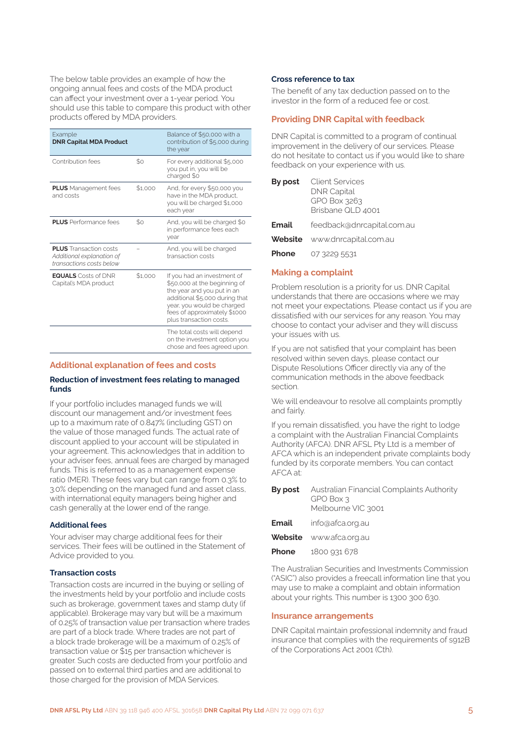The below table provides an example of how the ongoing annual fees and costs of the MDA product can affect your investment over a 1-year period. You should use this table to compare this product with other products offered by MDA providers.

| Example<br><b>DNR Capital MDA Product</b>                                              |         | Balance of \$50,000 with a<br>contribution of \$5,000 during<br>the year                                                                                                                                             |
|----------------------------------------------------------------------------------------|---------|----------------------------------------------------------------------------------------------------------------------------------------------------------------------------------------------------------------------|
| Contribution fees                                                                      | \$o     | For every additional \$5,000<br>you put in, you will be<br>charged \$0                                                                                                                                               |
| <b>PLUS</b> Management fees<br>and costs                                               | \$1,000 | And, for every \$50,000 you<br>have in the MDA product,<br>you will be charged \$1,000<br>each year                                                                                                                  |
| <b>PLUS</b> Performance fees                                                           | \$0     | And, you will be charged \$0<br>in performance fees each<br>vear                                                                                                                                                     |
| <b>PLUS</b> Transaction costs<br>Additional explanation of<br>transactions costs below |         | And, you will be charged<br>transaction costs                                                                                                                                                                        |
| <b>EQUALS</b> Costs of DNR<br>Capital's MDA product                                    | \$1.000 | If you had an investment of<br>\$50,000 at the beginning of<br>the year and you put in an<br>additional \$5,000 during that<br>year, you would be charged<br>fees of approximately \$1000<br>plus transaction costs. |
|                                                                                        |         | The total costs will depend<br>on the investment option you<br>chose and fees agreed upon.                                                                                                                           |

#### **Additional explanation of fees and costs**

## **Reduction of investment fees relating to managed funds**

If your portfolio includes managed funds we will discount our management and/or investment fees up to a maximum rate of 0.847% (including GST) on the value of those managed funds. The actual rate of discount applied to your account will be stipulated in your agreement. This acknowledges that in addition to your adviser fees, annual fees are charged by managed funds. This is referred to as a management expense ratio (MER). These fees vary but can range from 0.3% to 3.0% depending on the managed fund and asset class, with international equity managers being higher and cash generally at the lower end of the range.

## **Additional fees**

Your adviser may charge additional fees for their services. Their fees will be outlined in the Statement of Advice provided to you.

#### **Transaction costs**

Transaction costs are incurred in the buying or selling of the investments held by your portfolio and include costs such as brokerage, government taxes and stamp duty (if applicable). Brokerage may vary but will be a maximum of 0.25% of transaction value per transaction where trades are part of a block trade. Where trades are not part of a block trade brokerage will be a maximum of 0.25% of transaction value or \$15 per transaction whichever is greater. Such costs are deducted from your portfolio and passed on to external third parties and are additional to those charged for the provision of MDA Services.

#### **Cross reference to tax**

The benefit of any tax deduction passed on to the investor in the form of a reduced fee or cost.

## **Providing DNR Capital with feedback**

DNR Capital is committed to a program of continual improvement in the delivery of our services. Please do not hesitate to contact us if you would like to share feedback on your experience with us.

| By post | <b>Client Services</b><br><b>DNR Capital</b><br>GPO Box 3263<br>Brisbane QLD 4001 |
|---------|-----------------------------------------------------------------------------------|
| Email   | feedback@dnrcapital.com.au                                                        |
|         | <b>Website</b> www.dnrcapital.com.au                                              |
| Phone   | 07 3229 5531                                                                      |

## **Making a complaint**

Problem resolution is a priority for us. DNR Capital understands that there are occasions where we may not meet your expectations. Please contact us if you are dissatisfied with our services for any reason. You may choose to contact your adviser and they will discuss your issues with us.

If you are not satisfied that your complaint has been resolved within seven days, please contact our Dispute Resolutions Officer directly via any of the communication methods in the above feedback section.

We will endeavour to resolve all complaints promptly and fairly.

If you remain dissatisfied, you have the right to lodge a complaint with the Australian Financial Complaints Authority (AFCA). DNR AFSL Pty Ltd is a member of AFCA which is an independent private complaints body funded by its corporate members. You can contact AFCA at:

|       | <b>By post</b> Australian Financial Complaints Authority<br>GPO Box 3<br>Melbourne VIC 3001 |
|-------|---------------------------------------------------------------------------------------------|
| Email | info@afca.org.au                                                                            |
|       | <b>Website</b> www.afca.org.au                                                              |

- 
- **Phone** 1800 931 678

The Australian Securities and Investments Commission ("ASIC") also provides a freecall information line that you may use to make a complaint and obtain information about your rights. This number is 1300 300 630.

#### **Insurance arrangements**

DNR Capital maintain professional indemnity and fraud insurance that complies with the requirements of s912B of the Corporations Act 2001 (Cth).